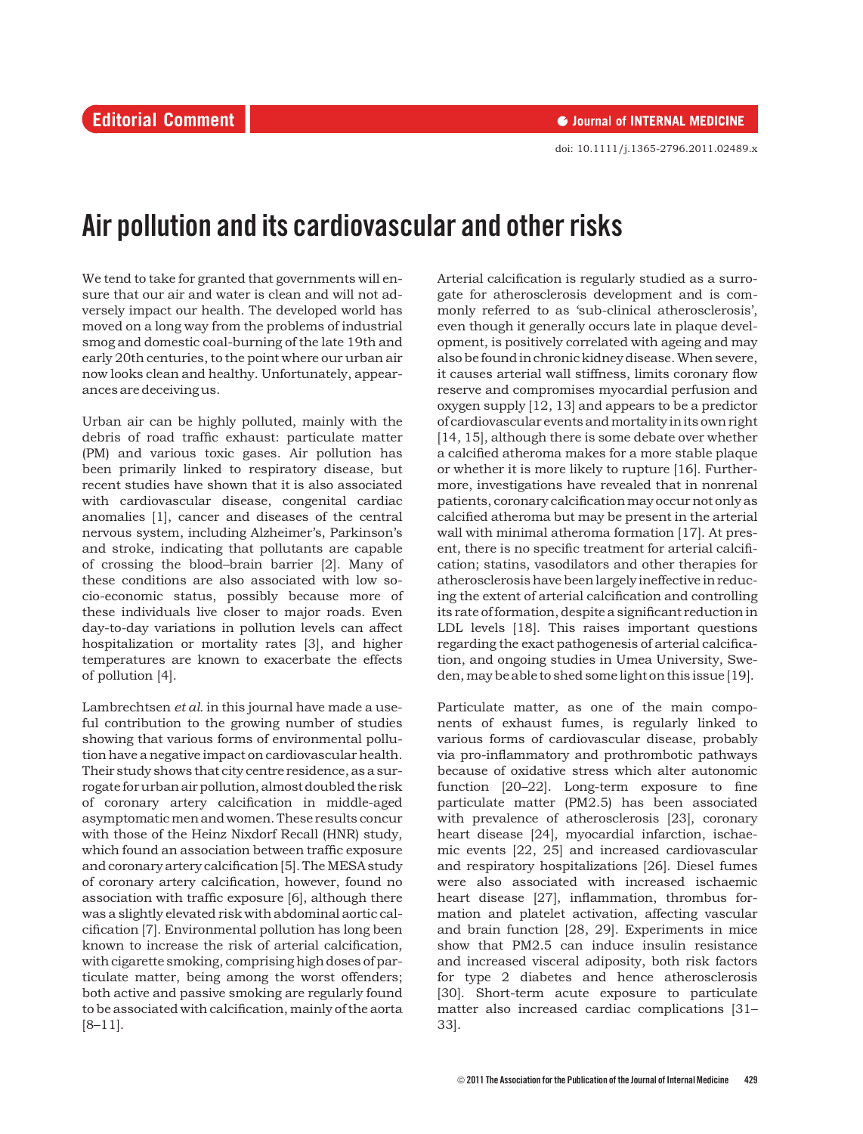doi: 10.1111/j.1365-2796.2011.02489.x

# Air pollution and its cardiovascular and other risks

We tend to take for granted that governments will ensure that our air and water is clean and will not adversely impact our health. The developed world has moved on a long way from the problems of industrial smog and domestic coal-burning of the late 19th and early 20th centuries, to the point where our urban air now looks clean and healthy. Unfortunately, appearances are deceiving us.

Urban air can be highly polluted, mainly with the debris of road traffic exhaust: particulate matter (PM) and various toxic gases. Air pollution has been primarily linked to respiratory disease, but recent studies have shown that it is also associated with cardiovascular disease, congenital cardiac anomalies [1], cancer and diseases of the central nervous system, including Alzheimer's, Parkinson's and stroke, indicating that pollutants are capable of crossing the blood–brain barrier [2]. Many of these conditions are also associated with low socio-economic status, possibly because more of these individuals live closer to major roads. Even day-to-day variations in pollution levels can affect hospitalization or mortality rates [3], and higher temperatures are known to exacerbate the effects of pollution [4].

Lambrechtsen et al. in this journal have made a useful contribution to the growing number of studies showing that various forms of environmental pollution have a negative impact on cardiovascular health. Their study shows that city centre residence, as a surrogate forurban air pollution, almost doubled the risk of coronary artery calcification in middle-aged asymptomaticmen and women. These results concur with those of the Heinz Nixdorf Recall (HNR) study, which found an association between traffic exposure and coronary artery calcification [5]. The MESA study of coronary artery calcification, however, found no association with traffic exposure [6], although there was a slightly elevated risk with abdominal aortic calcification [7]. Environmental pollution has long been known to increase the risk of arterial calcification, with cigarette smoking, comprising high doses of particulate matter, being among the worst offenders; both active and passive smoking are regularly found to be associated with calcification, mainly of the aorta [8–11].

Arterial calcification is regularly studied as a surrogate for atherosclerosis development and is commonly referred to as 'sub-clinical atherosclerosis', even though it generally occurs late in plaque development, is positively correlated with ageing and may also be found in chronic kidney disease.When severe, it causes arterial wall stiffness, limits coronary flow reserve and compromises myocardial perfusion and oxygen supply [12, 13] and appears to be a predictor of cardiovascular events andmortality in its own right [14, 15], although there is some debate over whether a calcified atheroma makes for a more stable plaque or whether it is more likely to rupture [16]. Furthermore, investigations have revealed that in nonrenal patients, coronary calcification may occur not only as calcified atheroma but may be present in the arterial wall with minimal atheroma formation [17]. At present, there is no specific treatment for arterial calcification; statins, vasodilators and other therapies for atherosclerosis have been largely ineffective in reducing the extent of arterial calcification and controlling its rate of formation, despite a significant reduction in LDL levels [18]. This raises important questions regarding the exact pathogenesis of arterial calcification, and ongoing studies in Umea University, Sweden, may be able to shed some light on this issue [19].

Particulate matter, as one of the main components of exhaust fumes, is regularly linked to various forms of cardiovascular disease, probably via pro-inflammatory and prothrombotic pathways because of oxidative stress which alter autonomic function [20–22]. Long-term exposure to fine particulate matter (PM2.5) has been associated with prevalence of atherosclerosis [23], coronary heart disease [24], myocardial infarction, ischaemic events [22, 25] and increased cardiovascular and respiratory hospitalizations [26]. Diesel fumes were also associated with increased ischaemic heart disease [27], inflammation, thrombus formation and platelet activation, affecting vascular and brain function [28, 29]. Experiments in mice show that PM2.5 can induce insulin resistance and increased visceral adiposity, both risk factors for type 2 diabetes and hence atherosclerosis [30]. Short-term acute exposure to particulate matter also increased cardiac complications [31– 33].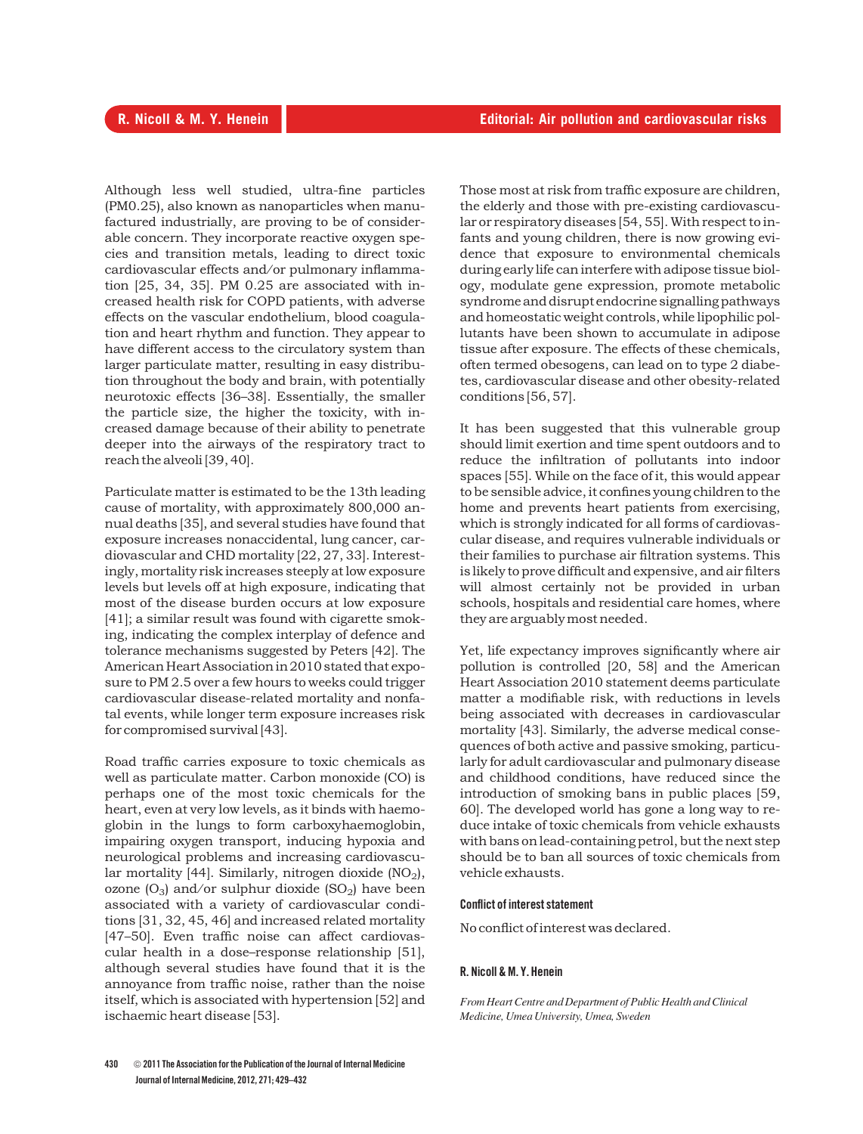Although less well studied, ultra-fine particles (PM0.25), also known as nanoparticles when manufactured industrially, are proving to be of considerable concern. They incorporate reactive oxygen species and transition metals, leading to direct toxic cardiovascular effects and⁄ or pulmonary inflammation [25, 34, 35]. PM 0.25 are associated with increased health risk for COPD patients, with adverse effects on the vascular endothelium, blood coagulation and heart rhythm and function. They appear to have different access to the circulatory system than larger particulate matter, resulting in easy distribution throughout the body and brain, with potentially neurotoxic effects [36–38]. Essentially, the smaller the particle size, the higher the toxicity, with increased damage because of their ability to penetrate deeper into the airways of the respiratory tract to reach the alveoli [39, 40].

Particulate matter is estimated to be the 13th leading cause of mortality, with approximately 800,000 annual deaths [35], and several studies have found that exposure increases nonaccidental, lung cancer, cardiovascular and CHD mortality [22, 27, 33]. Interestingly,mortality risk increases steeply at low exposure levels but levels off at high exposure, indicating that most of the disease burden occurs at low exposure [41]; a similar result was found with cigarette smoking, indicating the complex interplay of defence and tolerance mechanisms suggested by Peters [42]. The American Heart Association in 2010 stated that exposure to PM 2.5 over a few hours to weeks could trigger cardiovascular disease-related mortality and nonfatal events, while longer term exposure increases risk for compromised survival [43].

Road traffic carries exposure to toxic chemicals as well as particulate matter. Carbon monoxide (CO) is perhaps one of the most toxic chemicals for the heart, even at very low levels, as it binds with haemoglobin in the lungs to form carboxyhaemoglobin, impairing oxygen transport, inducing hypoxia and neurological problems and increasing cardiovascular mortality [44]. Similarly, nitrogen dioxide  $(NO<sub>2</sub>)$ , ozone  $(O_3)$  and/or sulphur dioxide  $(SO_2)$  have been associated with a variety of cardiovascular conditions [31, 32, 45, 46] and increased related mortality [47–50]. Even traffic noise can affect cardiovascular health in a dose–response relationship [51], although several studies have found that it is the annoyance from traffic noise, rather than the noise itself, which is associated with hypertension [52] and ischaemic heart disease [53].

Those most at risk from traffic exposure are children, the elderly and those with pre-existing cardiovascular or respiratory diseases [54, 55].With respect to infants and young children, there is now growing evidence that exposure to environmental chemicals during early life can interfere with adipose tissue biology, modulate gene expression, promote metabolic syndrome and disrupt endocrine signalling pathways and homeostatic weight controls, while lipophilic pollutants have been shown to accumulate in adipose tissue after exposure. The effects of these chemicals, often termed obesogens, can lead on to type 2 diabetes, cardiovascular disease and other obesity-related conditions [56, 57].

It has been suggested that this vulnerable group should limit exertion and time spent outdoors and to reduce the infiltration of pollutants into indoor spaces [55]. While on the face of it, this would appear to be sensible advice, it confines young children to the home and prevents heart patients from exercising, which is strongly indicated for all forms of cardiovascular disease, and requires vulnerable individuals or their families to purchase air filtration systems. This is likely to prove difficult and expensive, and air filters will almost certainly not be provided in urban schools, hospitals and residential care homes, where they are arguablymost needed.

Yet, life expectancy improves significantly where air pollution is controlled [20, 58] and the American Heart Association 2010 statement deems particulate matter a modifiable risk, with reductions in levels being associated with decreases in cardiovascular mortality [43]. Similarly, the adverse medical consequences of both active and passive smoking, particularly for adult cardiovascular and pulmonary disease and childhood conditions, have reduced since the introduction of smoking bans in public places [59, 60]. The developed world has gone a long way to reduce intake of toxic chemicals from vehicle exhausts with bans on lead-containing petrol, but the next step should be to ban all sources of toxic chemicals from vehicle exhausts.

## Conflict of interest statement

No conflict of interest was declared.

### R. Nicoll & M. Y. Henein

From Heart Centre and Department of Public Health and Clinical Medicine, Umea University, Umea, Sweden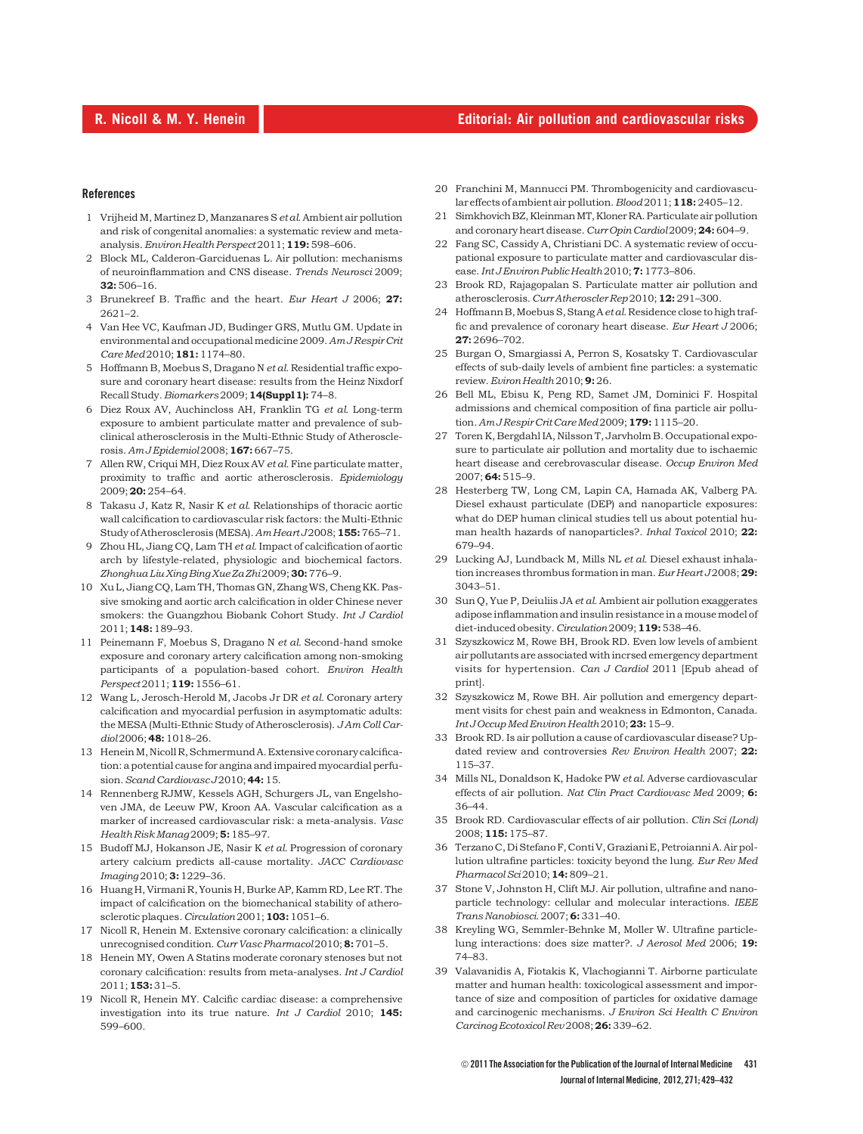# R. Nicoll & M. Y. Henein **Nicolassis and Carlies and Carlies and Carlies and Carlies and Carlies and Carlies and Carlies and Carlies and Carlies and Carlies and Carlies and Carlies and Carlies and Carlies and Carlies and C**

### **References**

- 1 Vrijheid M,Martinez D,Manzanares Set al.Ambient air pollution and risk of congenital anomalies: a systematic review and metaanalysis. Environ Health Perspect 2011; 119: 598-606.
- 2 Block ML, Calderon-Garciduenas L. Air pollution: mechanisms of neuroinflammation and CNS disease. Trends Neurosci 2009; 32:506–16.
- 3 Brunekreef B. Traffic and the heart. Eur Heart J 2006; 27: 2621–2.
- 4 Van Hee VC, Kaufman JD, Budinger GRS, Mutlu GM. Update in environmental and occupationalmedicine 2009.Am J Respir Crit Care Med 2010; 181: 1174-80.
- 5 Hoffmann B, Moebus S, Dragano N et al. Residential traffic exposure and coronary heart disease: results from the Heinz Nixdorf Recall Study. Biomarkers 2009; 14(Suppl 1): 74-8.
- 6 Diez Roux AV, Auchincloss AH, Franklin TG et al. Long-term exposure to ambient particulate matter and prevalence of subclinical atherosclerosis in the Multi-Ethnic Study of Atherosclerosis. Am J Epidemiol 2008; 167: 667-75.
- 7 Allen RW, Criqui MH, Diez Roux AV et al. Fine particulate matter, proximity to traffic and aortic atherosclerosis. Epidemiology 2009;20:254–64.
- Takasu J, Katz R, Nasir K et al. Relationships of thoracic aortic wall calcification to cardiovascular risk factors: the Multi-Ethnic Study of Atherosclerosis (MESA). Am Heart J2008; 155:765-71.
- 9 Zhou HL, Jiang CQ, Lam TH et al. Impact of calcification of aortic arch by lifestyle-related, physiologic and biochemical factors. Zhonghua Liu Xing Bing Xue Za Zhi 2009; 30: 776-9.
- 10 Xu L, Jiang CQ, Lam TH, Thomas GN, ZhangWS, Cheng KK. Passive smoking and aortic arch calcification in older Chinese never smokers: the Guangzhou Biobank Cohort Study. Int J Cardiol 2011;148:189–93.
- 11 Peinemann F, Moebus S, Dragano N et al. Second-hand smoke exposure and coronary artery calcification among non-smoking participants of a population-based cohort. Environ Health Perspect 2011; 119: 1556-61.
- 12 Wang L, Jerosch-Herold M, Jacobs Jr DR et al. Coronary artery calcification and myocardial perfusion in asymptomatic adults: the MESA (Multi-Ethnic Study of Atherosclerosis). J Am Coll Cardiol2006; **48:** 1018–26.
- 13 Henein M, Nicoll R, Schmermund A. Extensive coronary calcification: a potential cause for angina and impaired myocardial perfusion. Scand Cardiovasc J2010: 44: 15.
- 14 Rennenberg RJMW, Kessels AGH, Schurgers JL, van Engelshoven JMA, de Leeuw PW, Kroon AA. Vascular calcification as a marker of increased cardiovascular risk: a meta-analysis. Vasc Health Risk Manag 2009; 5: 185-97.
- 15 Budoff MJ, Hokanson JE, Nasir K et al. Progression of coronary artery calcium predicts all-cause mortality. JACC Cardiovasc Imaging 2010; 3: 1229-36.
- 16 Huang H,Virmani R, Younis H, Burke AP, Kamm RD, Lee RT. The impact of calcification on the biomechanical stability of atherosclerotic plaques. Circulation 2001; 103: 1051-6.
- 17 Nicoll R, Henein M. Extensive coronary calcification: a clinically unrecognised condition. Curr Vasc Pharmacol 2010; 8:701-5.
- 18 Henein MY, Owen A Statins moderate coronary stenoses but not coronary calcification: results from meta-analyses. Int J Cardiol 2011;153:31–5.
- 19 Nicoll R, Henein MY. Calcific cardiac disease: a comprehensive investigation into its true nature. Int J Cardiol 2010; 145: 599–600.
- 20 Franchini M, Mannucci PM. Thrombogenicity and cardiovascular effects of ambient air pollution. Blood 2011; 118: 2405-12
- 21 Simkhovich BZ, KleinmanMT, Kloner RA. Particulate air pollution and coronary heart disease. Curr Opin Cardiol2009; 24: 604-9.
- 22 Fang SC, Cassidy A, Christiani DC. A systematic review of occupational exposure to particulate matter and cardiovascular disease. Int J Environ Public Health 2010; 7: 1773-806.
- 23 Brook RD, Rajagopalan S. Particulate matter air pollution and atherosclerosis. CurrAtheroscler Rep 2010; 12: 291-300.
- 24 Hoffmann B, Moebus S, Stang A et al. Residence close to high traffic and prevalence of coronary heart disease. Eur Heart J 2006; 27:2696–702.
- 25 Burgan O, Smargiassi A, Perron S, Kosatsky T. Cardiovascular effects of sub-daily levels of ambient fine particles: a systematic review. Eviron Health 2010; 9:26.
- 26 Bell ML, Ebisu K, Peng RD, Samet JM, Dominici F. Hospital admissions and chemical composition of fina particle air pollution. Am J Respir Crit Care Med 2009; 179: 1115-20.
- 27 Toren K, Bergdahl IA, Nilsson T, Jarvholm B. Occupational exposure to particulate air pollution and mortality due to ischaemic heart disease and cerebrovascular disease. Occup Environ Med  $2007 \cdot 64:515-9$
- 28 Hesterberg TW, Long CM, Lapin CA, Hamada AK, Valberg PA. Diesel exhaust particulate (DEP) and nanoparticle exposures: what do DEP human clinical studies tell us about potential human health hazards of nanoparticles?. Inhal Toxicol 2010; 22: 679–94.
- 29 Lucking AJ, Lundback M, Mills NL et al. Diesel exhaust inhalation increases thrombus formation in man.  $Eur Heart J2008;$  29: 3043–51.
- 30 Sun Q, Yue P, Deiuliis JA et al. Ambient air pollution exaggerates adipose inflammation and insulin resistance in a mousemodel of diet-induced obesity. Circulation 2009; 119: 538-46.
- 31 Szyszkowicz M, Rowe BH, Brook RD. Even low levels of ambient air pollutants are associated with incrsed emergency department visits for hypertension. Can J Cardiol 2011 [Epub ahead of print].
- 32 Szyszkowicz M, Rowe BH. Air pollution and emergency department visits for chest pain and weakness in Edmonton, Canada. Int J Occup Med Environ Health 2010; 23: 15-9.
- 33 Brook RD. Is air pollution a cause of cardiovascular disease? Updated review and controversies Rev Environ Health 2007; 22: 115–37.
- 34 Mills NL, Donaldson K, Hadoke PW et al. Adverse cardiovascular effects of air pollution. Nat Clin Pract Cardiovasc Med 2009; 6: 36–44.
- 35 Brook RD. Cardiovascular effects of air pollution. Clin Sci (Lond) 2008;115:175–87.
- 36 Terzano C,DiStefano F, ContiV,Graziani E, PetroianniA.Air pollution ultrafine particles: toxicity beyond the lung. Eur Rev Med Pharmacol Sci 2010: 14:809-21.
- 37 Stone V, Johnston H, Clift MJ. Air pollution, ultrafine and nanoparticle technology: cellular and molecular interactions. IEEE Trans Nanobiosci.2007;6:331–40.
- 38 Kreyling WG, Semmler-Behnke M, Moller W. Ultrafine particlelung interactions: does size matter?. J Aerosol Med 2006; 19: 74–83.
- 39 Valavanidis A, Fiotakis K, Vlachogianni T. Airborne particulate matter and human health: toxicological assessment and importance of size and composition of particles for oxidative damage and carcinogenic mechanisms. J Environ Sci Health C Environ Carcinog Ecotoxicol Rev 2008; 26: 339-62.